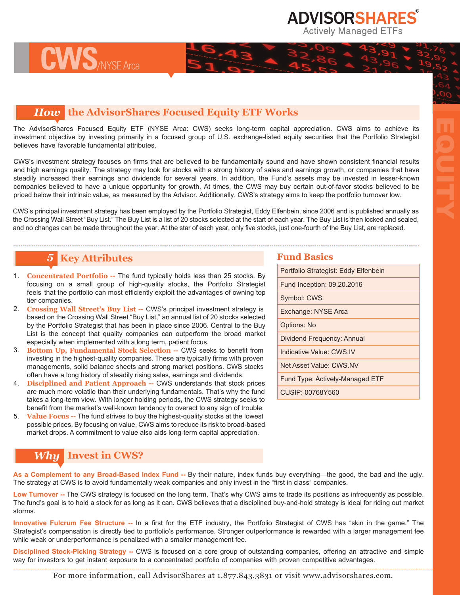**ADVISORSHARES Actively Managed ETFs** 

EQUITY

## *How* **the AdvisorShares Focused Equity ETF Works**

The AdvisorShares Focused Equity ETF (NYSE Arca: CWS) seeks long-term capital appreciation. CWS aims to achieve its investment objective by investing primarily in a focused group of U.S. exchange-listed equity securities that the Portfolio Strategist believes have favorable fundamental attributes.

CWS's investment strategy focuses on firms that are believed to be fundamentally sound and have shown consistent financial results and high earnings quality. The strategy may look for stocks with a strong history of sales and earnings growth, or companies that have steadily increased their earnings and dividends for several years. In addition, the Fund's assets may be invested in lesser-known companies believed to have a unique opportunity for growth. At times, the CWS may buy certain out-of-favor stocks believed to be priced below their intrinsic value, as measured by the Advisor. Additionally, CWS's strategy aims to keep the portfolio turnover low.

CWS's principal investment strategy has been employed by the Portfolio Strategist, Eddy Elfenbein, since 2006 and is published annually as the Crossing Wall Street "Buy List." The Buy List is a list of 20 stocks selected at the start of each year. The Buy List is then locked and sealed, and no changes can be made throughout the year. At the star of each year, only five stocks, just one-fourth of the Buy List, are replaced.

## *5* **Key Attributes**

**CWS**/NYSE Arca

- 1. **Concentrated Portfolio --** The fund typically holds less than 25 stocks. By focusing on a small group of high-quality stocks, the Portfolio Strategist feels that the portfolio can most efficiently exploit the advantages of owning top tier companies.
- 2. **Crossing Wall Street's Buy List --** CWS's principal investment strategy is based on the Crossing Wall Street "Buy List," an annual list of 20 stocks selected by the Portfolio Strategist that has been in place since 2006. Central to the Buy List is the concept that quality companies can outperform the broad market especially when implemented with a long term, patient focus.
- 3. **Bottom Up, Fundamental Stock Selection --** CWS seeks to benefit from investing in the highest-quality companies. These are typically firms with proven managements, solid balance sheets and strong market positions. CWS stocks often have a long history of steadily rising sales, earnings and dividends.
- 4. **Disciplined and Patient Approach --** CWS understands that stock prices are much more volatile than their underlying fundamentals. That's why the fund takes a long-term view. With longer holding periods, the CWS strategy seeks to benefit from the market's well-known tendency to overact to any sign of trouble.
- 5. **Value Focus --** The fund strives to buy the highest-quality stocks at the lowest possible prices. By focusing on value, CWS aims to reduce its risk to broad-based market drops. A commitment to value also aids long-term capital appreciation.

## *Why* **Invest in CWS?**

As a Complement to any Broad-Based Index Fund -- By their nature, index funds buy everything—the good, the bad and the ugly. The strategy at CWS is to avoid fundamentally weak companies and only invest in the "first in class" companies.

**Low Turnover --** The CWS strategy is focused on the long term. That's why CWS aims to trade its positions as infrequently as possible. The fund's goal is to hold a stock for as long as it can. CWS believes that a disciplined buy-and-hold strategy is ideal for riding out market storms.

**Innovative Fulcrum Fee Structure --** In a first for the ETF industry, the Portfolio Strategist of CWS has "skin in the game." The Strategist's compensation is directly tied to portfolio's performance. Stronger outperformance is rewarded with a larger management fee while weak or underperformance is penalized with a smaller management fee.

**Disciplined Stock-Picking Strategy --** CWS is focused on a core group of outstanding companies, offering an attractive and simple way for investors to get instant exposure to a concentrated portfolio of companies with proven competitive advantages.

For more information, call AdvisorShares at 1.877.843.3831 or visit www.advisorshares.com.

### **Fund Basics**

| Portfolio Strategist: Eddy Elfenbein |
|--------------------------------------|
| Fund Inception: 09.20.2016           |
| Symbol: CWS                          |
| Exchange: NYSE Arca                  |
| Options: No                          |
| Dividend Frequency: Annual           |
| Indicative Value: CWS IV             |
| Net Asset Value: CWS NV              |
| Fund Type: Actively-Managed ETF      |
| CUSIP: 00768Y560                     |